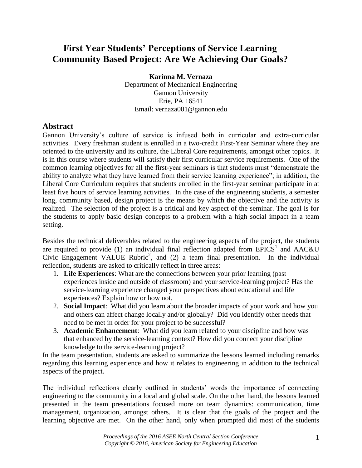## **First Year Students' Perceptions of Service Learning Community Based Project: Are We Achieving Our Goals?**

**Karinna M. Vernaza**

Department of Mechanical Engineering Gannon University Erie, PA 16541 Email: vernaza001@gannon.edu

## **Abstract**

Gannon University's culture of service is infused both in curricular and extra-curricular activities. Every freshman student is enrolled in a two-credit First-Year Seminar where they are oriented to the university and its culture, the Liberal Core requirements, amongst other topics. It is in this course where students will satisfy their first curricular service requirements. One of the common learning objectives for all the first-year seminars is that students must "demonstrate the ability to analyze what they have learned from their service learning experience"; in addition, the Liberal Core Curriculum requires that students enrolled in the first-year seminar participate in at least five hours of service learning activities. In the case of the engineering students, a semester long, community based, design project is the means by which the objective and the activity is realized. The selection of the project is a critical and key aspect of the seminar. The goal is for the students to apply basic design concepts to a problem with a high social impact in a team setting.

Besides the technical deliverables related to the engineering aspects of the project, the students are required to provide (1) an individual final reflection adapted from EPICS<sup>1</sup> and AAC&U Civic Engagement VALUE Rubric<sup>2</sup>, and (2) a team final presentation. In the individual reflection, students are asked to critically reflect in three areas:

- 1. **Life Experiences**: What are the connections between your prior learning (past experiences inside and outside of classroom) and your service-learning project? Has the service-learning experience changed your perspectives about educational and life experiences? Explain how or how not.
- 2. **Social Impact**: What did you learn about the broader impacts of your work and how you and others can affect change locally and/or globally? Did you identify other needs that need to be met in order for your project to be successful?
- 3. **Academic Enhancement**: What did you learn related to your discipline and how was that enhanced by the service-learning context? How did you connect your discipline knowledge to the service-learning project?

In the team presentation, students are asked to summarize the lessons learned including remarks regarding this learning experience and how it relates to engineering in addition to the technical aspects of the project.

The individual reflections clearly outlined in students' words the importance of connecting engineering to the community in a local and global scale. On the other hand, the lessons learned presented in the team presentations focused more on team dynamics: communication, time management, organization, amongst others. It is clear that the goals of the project and the learning objective are met. On the other hand, only when prompted did most of the students